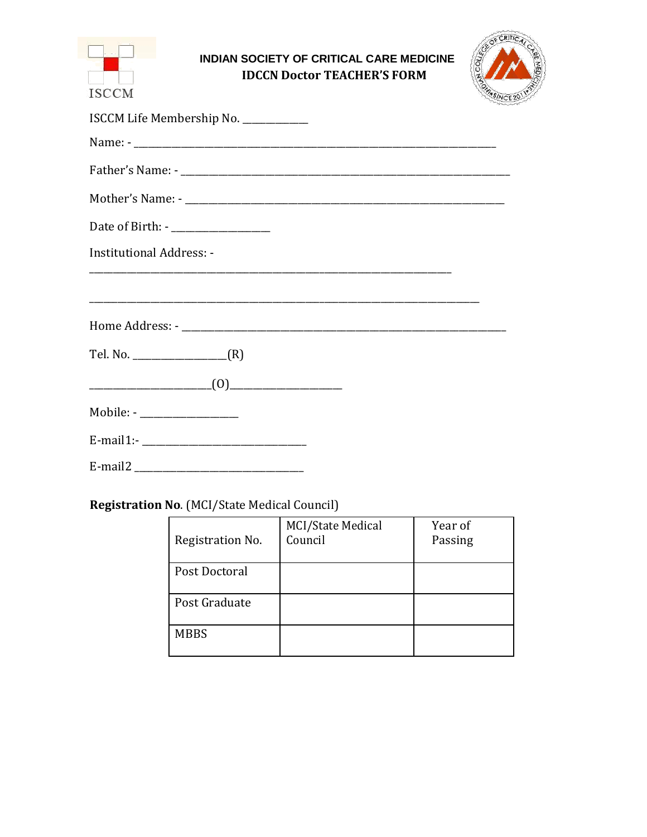| <b>INDIAN SOCIETY OF CRITICAL CARE MEDICINE</b><br><b>IDCCN Doctor TEACHER'S FORM</b><br><b>ISCCM</b> |  |
|-------------------------------------------------------------------------------------------------------|--|
| ISCCM Life Membership No. ___________                                                                 |  |
|                                                                                                       |  |
|                                                                                                       |  |
|                                                                                                       |  |
| Date of Birth: - ____________________                                                                 |  |
| <b>Institutional Address: -</b>                                                                       |  |
|                                                                                                       |  |
|                                                                                                       |  |
|                                                                                                       |  |
| (0)                                                                                                   |  |
| Mobile: - ____________________                                                                        |  |
|                                                                                                       |  |
| E-mail2                                                                                               |  |

# **Registration No.** (MCI/State Medical Council)

| Registration No. | MCI/State Medical<br>Council | Year of<br>Passing |
|------------------|------------------------------|--------------------|
| Post Doctoral    |                              |                    |
| Post Graduate    |                              |                    |
| <b>MBBS</b>      |                              |                    |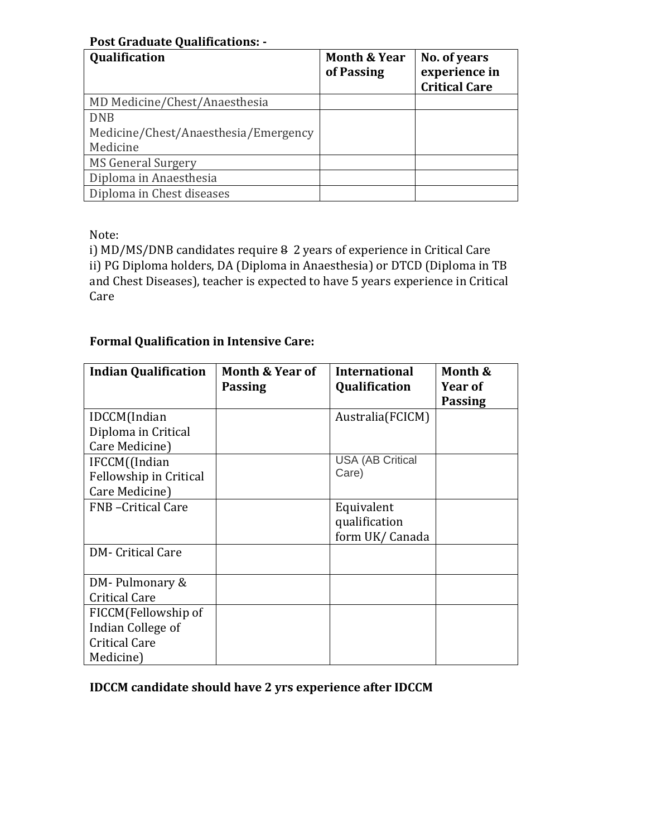#### **Post Graduate Qualifications: -**

| <b>Qualification</b>                 | <b>Month &amp; Year</b><br>of Passing | No. of years<br>experience in<br><b>Critical Care</b> |
|--------------------------------------|---------------------------------------|-------------------------------------------------------|
| MD Medicine/Chest/Anaesthesia        |                                       |                                                       |
| <b>DNB</b>                           |                                       |                                                       |
| Medicine/Chest/Anaesthesia/Emergency |                                       |                                                       |
| Medicine                             |                                       |                                                       |
| <b>MS General Surgery</b>            |                                       |                                                       |
| Diploma in Anaesthesia               |                                       |                                                       |
| Diploma in Chest diseases            |                                       |                                                       |

Note:

i) MD/MS/DNB candidates require 8 2 years of experience in Critical Care ii) PG Diploma holders, DA (Diploma in Anaesthesia) or DTCD (Diploma in TB and Chest Diseases), teacher is expected to have 5 years experience in Critical Care

## **Formal Qualification in Intensive Care:**

| <b>Indian Qualification</b> | Month & Year of<br><b>Passing</b> | <b>International</b><br>Qualification | Month &<br>Year of |
|-----------------------------|-----------------------------------|---------------------------------------|--------------------|
|                             |                                   |                                       | <b>Passing</b>     |
| IDCCM(Indian                |                                   | Australia(FCICM)                      |                    |
| Diploma in Critical         |                                   |                                       |                    |
| Care Medicine)              |                                   |                                       |                    |
| IFCCM((Indian               |                                   | <b>USA (AB Critical</b>               |                    |
| Fellowship in Critical      |                                   | Care)                                 |                    |
| Care Medicine)              |                                   |                                       |                    |
| <b>FNB</b> -Critical Care   |                                   | Equivalent                            |                    |
|                             |                                   | qualification                         |                    |
|                             |                                   | form UK/Canada                        |                    |
| <b>DM-</b> Critical Care    |                                   |                                       |                    |
|                             |                                   |                                       |                    |
| DM-Pulmonary &              |                                   |                                       |                    |
| <b>Critical Care</b>        |                                   |                                       |                    |
| FICCM(Fellowship of         |                                   |                                       |                    |
| Indian College of           |                                   |                                       |                    |
| <b>Critical Care</b>        |                                   |                                       |                    |
| Medicine)                   |                                   |                                       |                    |

**IDCCM candidate should have 2 yrs experience after IDCCM**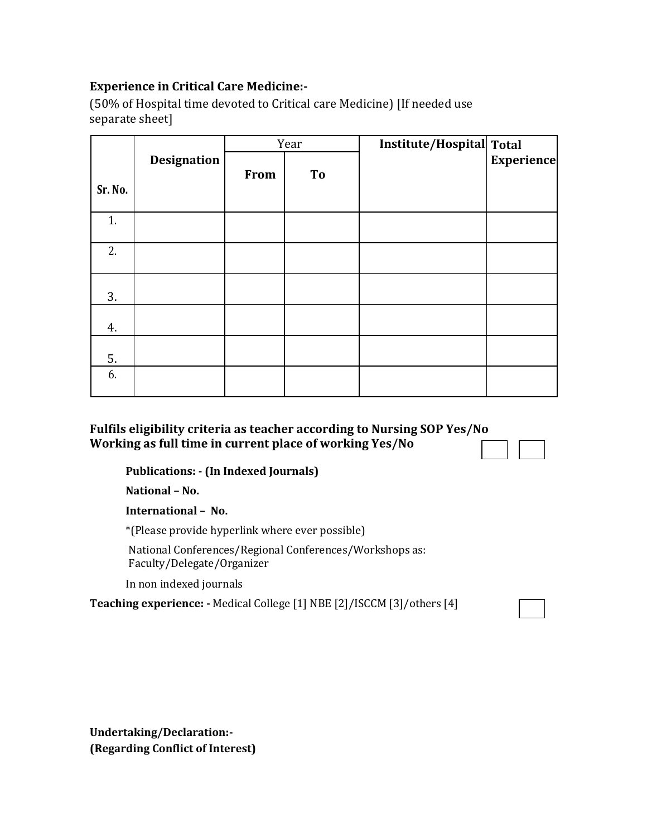## **Experience in Critical Care Medicine:-**

(50% of Hospital time devoted to Critical care Medicine) [If needed use separate sheet]

|         | Year               |      |    | Institute/Hospital Total |                   |
|---------|--------------------|------|----|--------------------------|-------------------|
| Sr. No. | <b>Designation</b> | From | To |                          | <b>Experience</b> |
| 1.      |                    |      |    |                          |                   |
| 2.      |                    |      |    |                          |                   |
| 3.      |                    |      |    |                          |                   |
| 4.      |                    |      |    |                          |                   |
| 5.      |                    |      |    |                          |                   |
| 6.      |                    |      |    |                          |                   |

## **Fulfils eligibility criteria as teacher according to Nursing SOP Yes/No Working as full time in current place of working Yes/No**

**Publications: - (In Indexed Journals)**

**National – No.**

**International – No.**

\*(Please provide hyperlink where ever possible)

National Conferences/Regional Conferences/Workshops as: Faculty/Delegate/Organizer

In non indexed journals

**Teaching experience: -** Medical College [1] NBE [2]/ISCCM [3]/others [4]

**Undertaking/Declaration:- (Regarding Conflict of Interest)**